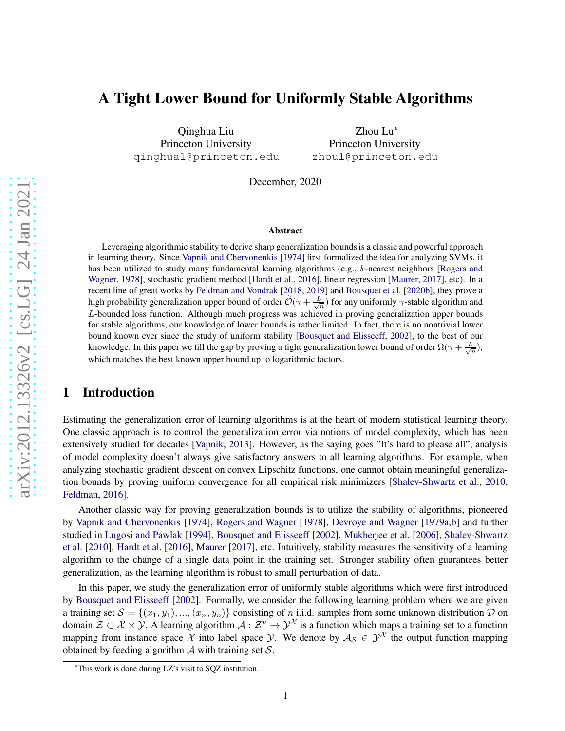# A Tight Lower Bound for Uniformly Stable Algorithms

Qinghua Liu Princeton University qinghual@princeton.edu

Zhou Lu\* Princeton University zhoul@princeton.edu

December, 2020

#### Abstract

Leveraging algorithmic stability to derive sharp generalization bounds is a classic and powerful approach in learning theory. Since [Vapnik and Chervonenkis](#page-6-0) [\[1974](#page-6-0)] first formalized the idea for analyzing SVMs, it has be[en utilized to study many fundamental learning algorithms \(e.g.,](#page-6-1) k-nearest neighbors [Rogers and Wagner, [1978\]](#page-6-1), stochastic gradient method [\[Hardt et al.](#page-5-0), [2016](#page-5-0)], linear regression [\[Maurer](#page-6-2), [2017](#page-6-2)], etc). In a recent line of great works by [Feldman and Vondrak](#page-5-1) [\[2018](#page-5-1), [2019](#page-5-2)] and [Bousquet et al.](#page-5-3) [\[2020b](#page-5-3)], they prove a high probability generalization upper bound of order  $\tilde{O}(\gamma + \frac{L}{\sqrt{n}})$  for any uniformly  $\gamma$ -stable algorithm and L-bounded loss function. Although much progress was achieved in proving generalization upper bounds for stable algorithms, our knowledge of lower bounds is rather limited. In fact, there is no nontrivial lower bound known ever since the study of uniform stability [\[Bousquet and Elisseeff](#page-5-4), [2002](#page-5-4)], to the best of our knowledge. In this paper we fill the gap by proving a tight generalization lower bound of order  $\Omega(\gamma + \frac{L}{\sqrt{n}})$ , which matches the best known upper bound up to logarithmic factors.

# 1 Introduction

Estimating the generalization error of learning algorithms is at the heart of modern statistical learning theory. One classic approach is to control the generalization error via notions of model complexity, which has been extensively studied for decades [\[Vapnik](#page-6-3), [2013\]](#page-6-3). However, as the saying goes "It's hard to please all", analysis of model complexity doesn't always give satisfactory answers to all learning algorithms. For example, when analyzing stochastic gradient descent on convex Lipschitz functions, one cannot obtain meaningful generalization bounds by proving uniform convergence for all empirical risk minimizers [\[Shalev-Shwartz et al.,](#page-6-4) [2010,](#page-6-4) [Feldman](#page-5-5), [2016](#page-5-5)].

Another classic way for proving generalization bounds is to utilize the stability of algorithms, pioneered by [Vapnik and Chervonenkis](#page-6-0) [\[1974\]](#page-6-0), [Rogers and Wagner](#page-6-1) [\[1978\]](#page-6-1), [Devroye and Wagner](#page-5-6) [\[1979a](#page-5-6)[,b\]](#page-5-7) and further studied in [Lugosi and Pawlak](#page-6-5) [\[1994](#page-6-5)], [Bousquet and Elisseeff](#page-5-4) [\[2002](#page-5-4)], [Mukherjee et al.](#page-6-6) [\[2006](#page-6-6)], Shalev-Shwartz et al. [\[2010](#page-6-4)], [Hardt et al.](#page-5-0) [\[2016](#page-5-0)], [Maurer](#page-6-2) [\[2017\]](#page-6-2), etc. Intuitively, stability measures the sensitivity of a learning algorithm to the change of a single data point in the training set. Stronger stability often guarantees better generalization, as the learning algorithm is robust to small perturbation of data.

In this paper, we study the generalization error of uniformly stable algorithms which were first introduced by [Bousquet and Elisseeff](#page-5-4) [\[2002\]](#page-5-4). Formally, we consider the following learning problem where we are given a training set  $S = \{(x_1, y_1), ..., (x_n, y_n)\}\)$  consisting of n i.i.d. samples from some unknown distribution D on domain  $\mathcal{Z} \subset \mathcal{X} \times \mathcal{Y}$ . A learning algorithm  $\mathcal{A} : \mathcal{Z}^n \to \mathcal{Y}^{\mathcal{X}}$  is a function which maps a training set to a function mapping from instance space X into label space  $Y$ . We denote by  $A_S \in Y^{\mathcal{X}}$  the output function mapping obtained by feeding algorithm  $A$  with training set  $S$ .

<sup>\*</sup>This work is done during LZ's visit to SQZ institution.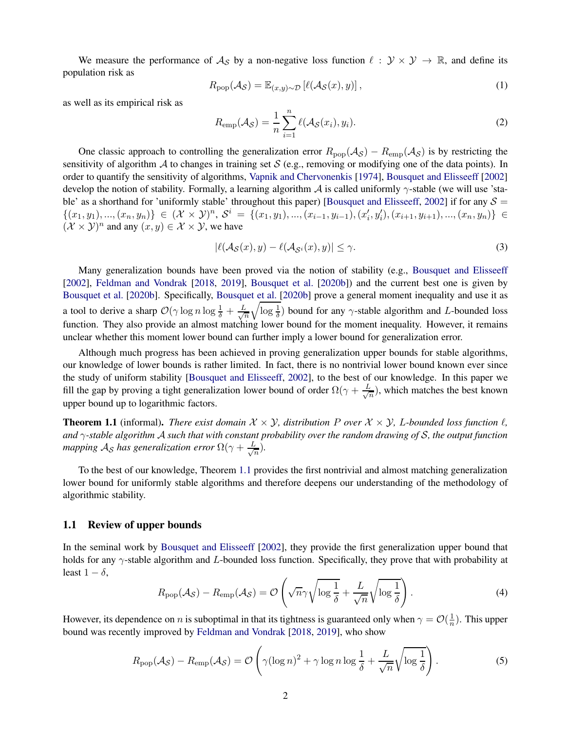We measure the performance of  $\mathcal{A}_{\mathcal{S}}$  by a non-negative loss function  $\ell : \mathcal{Y} \times \mathcal{Y} \to \mathbb{R}$ , and define its population risk as

$$
R_{\text{pop}}(\mathcal{A}_{\mathcal{S}}) = \mathbb{E}_{(x,y)\sim\mathcal{D}}\left[\ell(\mathcal{A}_{\mathcal{S}}(x), y)\right],\tag{1}
$$

as well as its empirical risk as

$$
R_{\text{emp}}(\mathcal{A}_{\mathcal{S}}) = \frac{1}{n} \sum_{i=1}^{n} \ell(\mathcal{A}_{\mathcal{S}}(x_i), y_i).
$$
 (2)

One classic approach to controlling the generalization error  $R_{\text{pop}}(\mathcal{A}_{\mathcal{S}}) - R_{\text{emp}}(\mathcal{A}_{\mathcal{S}})$  is by restricting the sensitivity of algorithm A to changes in training set S (e.g., removing or modifying one of the data points). In order to quantify the sensitivity of algorithms, [Vapnik and Chervonenkis](#page-6-0) [\[1974\]](#page-6-0), [Bousquet and Elisseeff](#page-5-4) [\[2002\]](#page-5-4) develop the notion of stability. Formally, a learning algorithm  $\mathcal A$  is called uniformly  $\gamma$ -stable (we will use 'sta-ble' as a shorthand for 'uniformly stable' throughout this paper) [\[Bousquet and Elisseeff](#page-5-4), [2002\]](#page-5-4) if for any  $S =$  $\{(x_1,y_1),...,(x_n,y_n)\}\in (\mathcal{X}\times \mathcal{Y})^n, \, \mathcal{S}^i \,=\, \{(x_1,y_1),...,(x_{i-1},y_{i-1}),(x'_i,y'_i),(x_{i+1},y_{i+1}),...,(x_n,y_n)\} \,\in \,$  $(\mathcal{X} \times \mathcal{Y})^n$  and any  $(x, y) \in \mathcal{X} \times \mathcal{Y}$ , we have

$$
|\ell(\mathcal{A}_{\mathcal{S}}(x), y) - \ell(\mathcal{A}_{\mathcal{S}^i}(x), y)| \le \gamma.
$$
\n(3)

Many generalization bounds have been proved via the notion of stability (e.g., [Bousquet and Elisseeff](#page-5-4) [\[2002](#page-5-4)], [Feldman and Vondrak](#page-5-1) [\[2018](#page-5-1), [2019](#page-5-2)], [Bousquet et al.](#page-5-3) [\[2020b\]](#page-5-3)) and the current best one is given by [Bousquet et al.](#page-5-3) [\[2020b](#page-5-3)]. Specifically, [Bousquet et al.](#page-5-3) [\[2020b\]](#page-5-3) prove a general moment inequality and use it as a tool to derive a sharp  $\mathcal{O}(\gamma \log n \log \frac{1}{\delta} + \frac{L}{\sqrt{n}})$ n  $\sqrt{\log \frac{1}{\delta}}$ ) bound for any γ-stable algorithm and L-bounded loss function. They also provide an almost matching lower bound for the moment inequality. However, it remains unclear whether this moment lower bound can further imply a lower bound for generalization error.

Although much progress has been achieved in proving generalization upper bounds for stable algorithms, our knowledge of lower bounds is rather limited. In fact, there is no nontrivial lower bound known ever since the study of uniform stability [\[Bousquet and Elisseeff](#page-5-4), [2002\]](#page-5-4), to the best of our knowledge. In this paper we fill the gap by proving a tight generalization lower bound of order  $\Omega(\gamma + \frac{L}{\sqrt{\beta}})$  $\frac{1}{n}$ ), which matches the best known upper bound up to logarithmic factors.

<span id="page-1-0"></span>**Theorem 1.1** (informal). *There exist domain*  $\mathcal{X} \times \mathcal{Y}$ , distribution P over  $\mathcal{X} \times \mathcal{Y}$ , L-bounded loss function  $\ell$ , *and* γ*-stable algorithm* A *such that with constant probability over the random drawing of* S*, the output function mapping*  $\mathcal{A}_{\mathcal{S}}$  *has generalization error*  $\Omega(\gamma + \frac{L}{\sqrt{N}})$  $\frac{1}{n}$ ).

To the best of our knowledge, Theorem [1.1](#page-1-0) provides the first nontrivial and almost matching generalization lower bound for uniformly stable algorithms and therefore deepens our understanding of the methodology of algorithmic stability.

#### 1.1 Review of upper bounds

In the seminal work by [Bousquet and Elisseeff](#page-5-4) [\[2002\]](#page-5-4), they provide the first generalization upper bound that holds for any  $\gamma$ -stable algorithm and L-bounded loss function. Specifically, they prove that with probability at least  $1 - \delta$ ,

$$
R_{\text{pop}}(\mathcal{A}_{\mathcal{S}}) - R_{\text{emp}}(\mathcal{A}_{\mathcal{S}}) = \mathcal{O}\left(\sqrt{n}\gamma \sqrt{\log\frac{1}{\delta}} + \frac{L}{\sqrt{n}}\sqrt{\log\frac{1}{\delta}}\right). \tag{4}
$$

However, its dependence on *n* is suboptimal in that its tightness is guaranteed only when  $\gamma = \mathcal{O}(\frac{1}{n})$ . This upper bound was recently improved by [Feldman and Vondrak](#page-5-1) [\[2018,](#page-5-1) [2019\]](#page-5-2), who show

<span id="page-1-1"></span>
$$
R_{\text{pop}}(\mathcal{A}_{\mathcal{S}}) - R_{\text{emp}}(\mathcal{A}_{\mathcal{S}}) = \mathcal{O}\left(\gamma(\log n)^2 + \gamma \log n \log \frac{1}{\delta} + \frac{L}{\sqrt{n}}\sqrt{\log \frac{1}{\delta}}\right).
$$
 (5)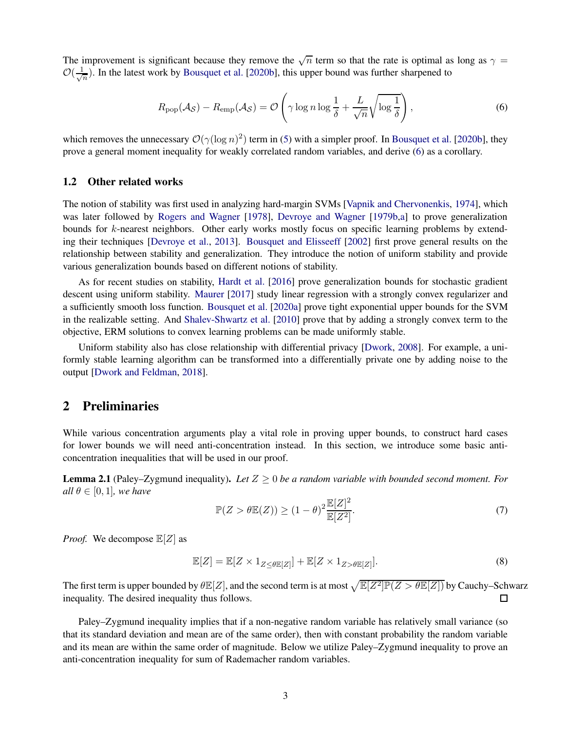The improvement is significant because they remove the  $\sqrt{n}$  term so that the rate is optimal as long as  $\gamma =$  $\mathcal{O}(\frac{1}{\sqrt{2}})$  $\frac{1}{n}$ ). In the latest work by [Bousquet et al.](#page-5-3) [\[2020b](#page-5-3)], this upper bound was further sharpened to

<span id="page-2-0"></span>
$$
R_{\text{pop}}(\mathcal{A}_{\mathcal{S}}) - R_{\text{emp}}(\mathcal{A}_{\mathcal{S}}) = \mathcal{O}\left(\gamma \log n \log \frac{1}{\delta} + \frac{L}{\sqrt{n}} \sqrt{\log \frac{1}{\delta}}\right),\tag{6}
$$

which removes the unnecessary  $\mathcal{O}(\gamma(\log n)^2)$  term in [\(5\)](#page-1-1) with a simpler proof. In [Bousquet et al.](#page-5-3) [\[2020b\]](#page-5-3), they prove a general moment inequality for weakly correlated random variables, and derive [\(6\)](#page-2-0) as a corollary.

#### 1.2 Other related works

The notion of stability was first used in analyzing hard-margin SVMs [\[Vapnik and Chervonenkis](#page-6-0), [1974\]](#page-6-0), which was later followed by [Rogers and Wagner](#page-6-1) [\[1978\]](#page-6-1), [Devroye and Wagner](#page-5-7) [\[1979b](#page-5-7)[,a\]](#page-5-6) to prove generalization bounds for k-nearest neighbors. Other early works mostly focus on specific learning problems by extending their techniques [\[Devroye et al.](#page-5-8), [2013](#page-5-8)]. [Bousquet and Elisseeff](#page-5-4) [\[2002](#page-5-4)] first prove general results on the relationship between stability and generalization. They introduce the notion of uniform stability and provide various generalization bounds based on different notions of stability.

As for recent studies on stability, [Hardt et al.](#page-5-0) [\[2016\]](#page-5-0) prove generalization bounds for stochastic gradient descent using uniform stability. [Maurer](#page-6-2) [\[2017\]](#page-6-2) study linear regression with a strongly convex regularizer and a sufficiently smooth loss function. [Bousquet et al.](#page-5-9) [\[2020a\]](#page-5-9) prove tight exponential upper bounds for the SVM in the realizable setting. And [Shalev-Shwartz et al.](#page-6-4) [\[2010](#page-6-4)] prove that by adding a strongly convex term to the objective, ERM solutions to convex learning problems can be made uniformly stable.

Uniform stability also has close relationship with differential privacy [\[Dwork](#page-5-10), [2008](#page-5-10)]. For example, a uniformly stable learning algorithm can be transformed into a differentially private one by adding noise to the output [\[Dwork and Feldman,](#page-5-11) [2018](#page-5-11)].

### 2 Preliminaries

While various concentration arguments play a vital role in proving upper bounds, to construct hard cases for lower bounds we will need anti-concentration instead. In this section, we introduce some basic anticoncentration inequalities that will be used in our proof.

<span id="page-2-1"></span>Lemma 2.1 (Paley–Zygmund inequality). *Let* Z ≥ 0 *be a random variable with bounded second moment. For all*  $\theta \in [0, 1]$ *, we have* 

$$
\mathbb{P}(Z > \theta \mathbb{E}(Z)) \ge (1 - \theta)^2 \frac{\mathbb{E}[Z]^2}{\mathbb{E}[Z^2]}.
$$
\n(7)

*Proof.* We decompose  $\mathbb{E}[Z]$  as

$$
\mathbb{E}[Z] = \mathbb{E}[Z \times 1_{Z \le \theta \mathbb{E}[Z]}] + \mathbb{E}[Z \times 1_{Z > \theta \mathbb{E}[Z]}].
$$
\n(8)

The first term is upper bounded by  $\theta \mathbb{E}[Z]$ , and the second term is at most  $\sqrt{\mathbb{E}[Z^2]\mathbb{P}(Z > \theta \mathbb{E}[Z])}$  by Cauchy–Schwarz inequality. The desired inequality thus follows.  $\Box$ 

Paley–Zygmund inequality implies that if a non-negative random variable has relatively small variance (so that its standard deviation and mean are of the same order), then with constant probability the random variable and its mean are within the same order of magnitude. Below we utilize Paley–Zygmund inequality to prove an anti-concentration inequality for sum of Rademacher random variables.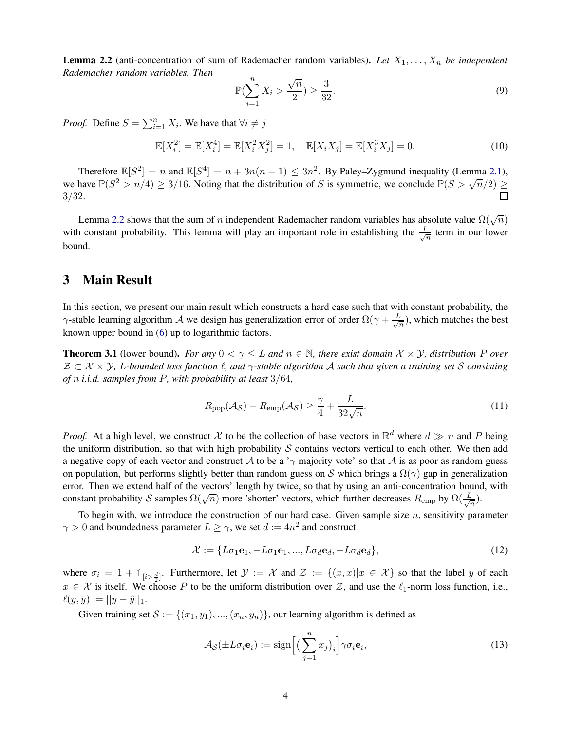<span id="page-3-0"></span>**Lemma 2.2** (anti-concentration of sum of Rademacher random variables). Let  $X_1, \ldots, X_n$  be independent *Rademacher random variables. Then*

$$
\mathbb{P}(\sum_{i=1}^{n} X_i > \frac{\sqrt{n}}{2}) \ge \frac{3}{32}.\tag{9}
$$

*Proof.* Define  $S = \sum_{i=1}^{n} X_i$ . We have that  $\forall i \neq j$ 

$$
\mathbb{E}[X_i^2] = \mathbb{E}[X_i^4] = \mathbb{E}[X_i^2 X_j^2] = 1, \quad \mathbb{E}[X_i X_j] = \mathbb{E}[X_i^3 X_j] = 0.
$$
 (10)

Therefore  $\mathbb{E}[S^2] = n$  and  $\mathbb{E}[S^4] = n + 3n(n-1) \le 3n^2$ . By Paley–Zygmund inequality (Lemma [2.1\)](#page-2-1), we have  $\mathbb{P}(S^2 > n/4) \ge 3/16$ . Noting that the distribution of S is symmetric, we conclude  $\mathbb{P}(S > \sqrt{n/2}) \ge$ 3/32.

Lemma [2.2](#page-3-0) shows that the sum of n independent Rademacher random variables has absolute value  $\Omega(\sqrt{n})$ with constant probability. This lemma will play an important role in establishing the  $\frac{L}{\sqrt{2}}$  $\frac{1}{n}$  term in our lower bound.

### 3 Main Result

In this section, we present our main result which constructs a hard case such that with constant probability, the  $\gamma$ -stable learning algorithm A we design has generalization error of order  $\Omega(\gamma + \frac{L}{\sqrt{N}})$  $\frac{1}{n}$ ), which matches the best known upper bound in [\(6\)](#page-2-0) up to logarithmic factors.

<span id="page-3-1"></span>**Theorem 3.1** (lower bound). *For any*  $0 < \gamma \leq L$  *and*  $n \in \mathbb{N}$ *, there exist domain*  $\mathcal{X} \times \mathcal{Y}$ *, distribution* P *over* Z ⊂ X × Y*,* L*-bounded loss function* ℓ*, and* γ*-stable algorithm* A *such that given a training set* S *consisting of* n *i.i.d. samples from* P*, with probability at least* 3/64*,*

$$
R_{\text{pop}}(\mathcal{A}_{\mathcal{S}}) - R_{\text{emp}}(\mathcal{A}_{\mathcal{S}}) \ge \frac{\gamma}{4} + \frac{L}{32\sqrt{n}}.\tag{11}
$$

*Proof.* At a high level, we construct X to be the collection of base vectors in  $\mathbb{R}^d$  where  $d \gg n$  and P being the uniform distribution, so that with high probability  $S$  contains vectors vertical to each other. We then add a negative copy of each vector and construct A to be a ' $\gamma$  majority vote' so that A is as poor as random guess on population, but performs slightly better than random guess on S which brings a  $\Omega(\gamma)$  gap in generalization error. Then we extend half of the vectors' length by twice, so that by using an anti-concentration bound, with constant probability S samples  $\Omega(\sqrt{n})$  more 'shorter' vectors, which further decreases  $R_{\text{emp}}$  by  $\Omega(\frac{L}{\sqrt{n}})$  $\frac{1}{n}).$ 

To begin with, we introduce the construction of our hard case. Given sample size  $n$ , sensitivity parameter  $\gamma > 0$  and boundedness parameter  $L \ge \gamma$ , we set  $d := 4n^2$  and construct

$$
\mathcal{X} := \{L\sigma_1\mathbf{e}_1, -L\sigma_1\mathbf{e}_1, ..., L\sigma_d\mathbf{e}_d, -L\sigma_d\mathbf{e}_d\},\tag{12}
$$

where  $\sigma_i = 1 + \mathbb{1}_{[i > \frac{d}{2}]}$ . Furthermore, let  $\mathcal{Y} := \mathcal{X}$  and  $\mathcal{Z} := \{(x, x) | x \in \mathcal{X}\}$  so that the label y of each  $x \in \mathcal{X}$  is itself. We choose P to be the uniform distribution over Z, and use the  $\ell_1$ -norm loss function, i.e.,  $\ell(y, \hat{y}) := ||y - \hat{y}||_1.$ 

Given training set  $S := \{(x_1, y_1), ..., (x_n, y_n)\}\)$ , our learning algorithm is defined as

$$
\mathcal{A}_{\mathcal{S}}(\pm L \sigma_i \mathbf{e}_i) := \text{sign}\Big[ \big(\sum_{j=1}^n x_j\big)_i \Big] \gamma \sigma_i \mathbf{e}_i,\tag{13}
$$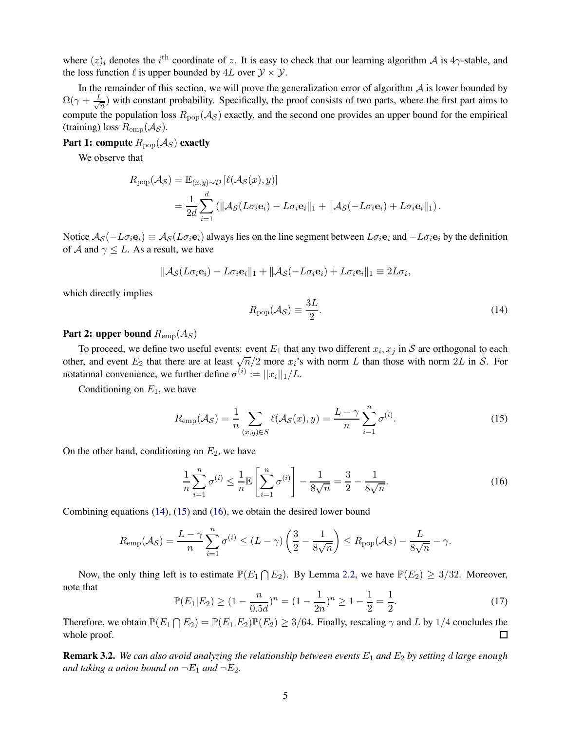where  $(z)_i$  denotes the i<sup>th</sup> coordinate of z. It is easy to check that our learning algorithm A is 4 $\gamma$ -stable, and the loss function  $\ell$  is upper bounded by  $4L$  over  $\mathcal{Y} \times \mathcal{Y}$ .

In the remainder of this section, we will prove the generalization error of algorithm  $A$  is lower bounded by  $\Omega(\gamma + \frac{L}{\sqrt{2}})$  $\frac{1}{n}$ ) with constant probability. Specifically, the proof consists of two parts, where the first part aims to compute the population loss  $R_{\text{pop}}(\mathcal{A}_{\mathcal{S}})$  exactly, and the second one provides an upper bound for the empirical (training) loss  $R_{\text{emp}}(\mathcal{A}_{\mathcal{S}})$ .

Part 1: compute  $R_{\text{pop}}(\mathcal{A}_S)$  exactly

We observe that

$$
R_{\text{pop}}(\mathcal{A}_{\mathcal{S}}) = \mathbb{E}_{(x,y)\sim\mathcal{D}} \left[ \ell(\mathcal{A}_{\mathcal{S}}(x), y) \right]
$$
  
= 
$$
\frac{1}{2d} \sum_{i=1}^{d} \left( \|\mathcal{A}_{\mathcal{S}}(L\sigma_i \mathbf{e}_i) - L\sigma_i \mathbf{e}_i\|_1 + \|\mathcal{A}_{\mathcal{S}}(-L\sigma_i \mathbf{e}_i) + L\sigma_i \mathbf{e}_i\|_1 \right).
$$

Notice  $\mathcal{A}_{\mathcal{S}}(-L\sigma_i\mathbf{e}_i) \equiv \mathcal{A}_{\mathcal{S}}(L\sigma_i\mathbf{e}_i)$  always lies on the line segment between  $L\sigma_i\mathbf{e}_i$  and  $-L\sigma_i\mathbf{e}_i$  by the definition of A and  $\gamma \leq L$ . As a result, we have

$$
\|\mathcal{A}_{\mathcal{S}}(L\sigma_i\mathbf{e}_i) - L\sigma_i\mathbf{e}_i\|_1 + \|\mathcal{A}_{\mathcal{S}}(-L\sigma_i\mathbf{e}_i) + L\sigma_i\mathbf{e}_i\|_1 \equiv 2L\sigma_i,
$$

which directly implies

<span id="page-4-0"></span>
$$
R_{\rm pop}(\mathcal{A}_{\mathcal{S}}) \equiv \frac{3L}{2}.\tag{14}
$$

#### Part 2: upper bound  $R_{\text{emp}}(A_S)$

To proceed, we define two useful events: event  $E_1$  that any two different  $x_i, x_j$  in S are orthogonal to each other, and event  $E_2$  that there are at least  $\sqrt{n}/2$  more  $x_i$ 's with norm L than those with norm  $2L$  in S. For notational convenience, we further define  $\sigma^{(i)} := ||x_i||_1/L$ .

Conditioning on  $E_1$ , we have

<span id="page-4-1"></span>
$$
R_{\text{emp}}(\mathcal{A}_{\mathcal{S}}) = \frac{1}{n} \sum_{(x,y) \in \mathcal{S}} \ell(\mathcal{A}_{\mathcal{S}}(x), y) = \frac{L - \gamma}{n} \sum_{i=1}^{n} \sigma^{(i)}.
$$
 (15)

On the other hand, conditioning on  $E_2$ , we have

<span id="page-4-2"></span>
$$
\frac{1}{n}\sum_{i=1}^{n}\sigma^{(i)} \le \frac{1}{n}\mathbb{E}\left[\sum_{i=1}^{n}\sigma^{(i)}\right] - \frac{1}{8\sqrt{n}} = \frac{3}{2} - \frac{1}{8\sqrt{n}}.\tag{16}
$$

Combining equations [\(14\)](#page-4-0), [\(15\)](#page-4-1) and [\(16\)](#page-4-2), we obtain the desired lower bound

$$
R_{\text{emp}}(\mathcal{A}_{\mathcal{S}}) = \frac{L - \gamma}{n} \sum_{i=1}^{n} \sigma^{(i)} \le (L - \gamma) \left(\frac{3}{2} - \frac{1}{8\sqrt{n}}\right) \le R_{\text{pop}}(\mathcal{A}_{\mathcal{S}}) - \frac{L}{8\sqrt{n}} - \gamma.
$$

Now, the only thing left is to estimate  $\mathbb{P}(E_1 \cap E_2)$ . By Lemma [2.2,](#page-3-0) we have  $\mathbb{P}(E_2) \geq 3/32$ . Moreover, note that

$$
\mathbb{P}(E_1|E_2) \ge (1 - \frac{n}{0.5d})^n = (1 - \frac{1}{2n})^n \ge 1 - \frac{1}{2} = \frac{1}{2}.
$$
\n(17)

Therefore, we obtain  $\mathbb{P}(E_1 \cap E_2) = \mathbb{P}(E_1 | E_2) \mathbb{P}(E_2) \ge 3/64$ . Finally, rescaling  $\gamma$  and L by 1/4 concludes the whole proof.

Remark 3.2. *We can also avoid analyzing the relationship between events* E<sup>1</sup> *and* E<sup>2</sup> *by setting* d *large enough and taking a union bound on*  $\neg E_1$  *and*  $\neg E_2$ *.*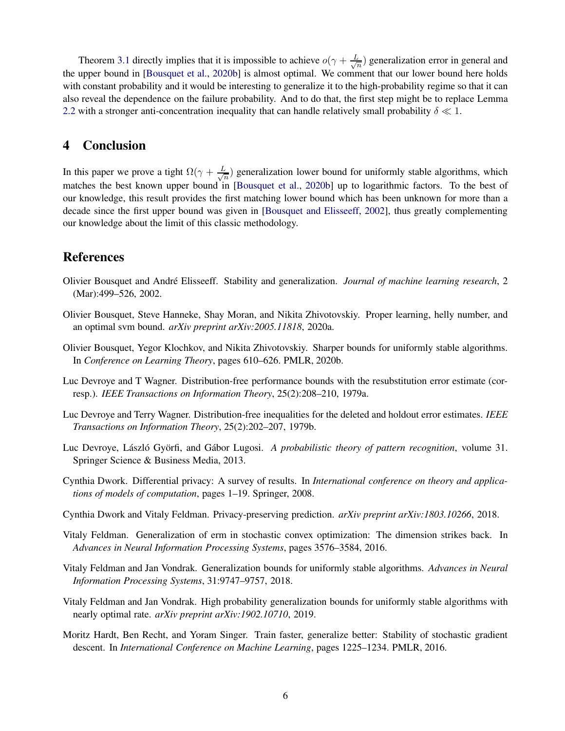Theorem [3.1](#page-3-1) directly implies that it is impossible to achieve  $o(\gamma + \frac{L}{\sqrt{2}})$  $\frac{1}{n}$ ) generalization error in general and the upper bound in [\[Bousquet et al.,](#page-5-3) [2020b\]](#page-5-3) is almost optimal. We comment that our lower bound here holds with constant probability and it would be interesting to generalize it to the high-probability regime so that it can also reveal the dependence on the failure probability. And to do that, the first step might be to replace Lemma [2.2](#page-3-0) with a stronger anti-concentration inequality that can handle relatively small probability  $\delta \ll 1$ .

### 4 Conclusion

In this paper we prove a tight  $\Omega(\gamma + \frac{L}{\sqrt{2}})$  $\frac{1}{n}$ ) generalization lower bound for uniformly stable algorithms, which matches the best known upper bound in [\[Bousquet et al.](#page-5-3), [2020b](#page-5-3)] up to logarithmic factors. To the best of our knowledge, this result provides the first matching lower bound which has been unknown for more than a decade since the first upper bound was given in [\[Bousquet and Elisseeff](#page-5-4), [2002](#page-5-4)], thus greatly complementing our knowledge about the limit of this classic methodology.

## References

- <span id="page-5-4"></span>Olivier Bousquet and Andr´e Elisseeff. Stability and generalization. *Journal of machine learning research*, 2 (Mar):499–526, 2002.
- <span id="page-5-9"></span>Olivier Bousquet, Steve Hanneke, Shay Moran, and Nikita Zhivotovskiy. Proper learning, helly number, and an optimal svm bound. *arXiv preprint arXiv:2005.11818*, 2020a.
- <span id="page-5-3"></span>Olivier Bousquet, Yegor Klochkov, and Nikita Zhivotovskiy. Sharper bounds for uniformly stable algorithms. In *Conference on Learning Theory*, pages 610–626. PMLR, 2020b.
- <span id="page-5-6"></span>Luc Devroye and T Wagner. Distribution-free performance bounds with the resubstitution error estimate (corresp.). *IEEE Transactions on Information Theory*, 25(2):208–210, 1979a.
- <span id="page-5-7"></span>Luc Devroye and Terry Wagner. Distribution-free inequalities for the deleted and holdout error estimates. *IEEE Transactions on Information Theory*, 25(2):202–207, 1979b.
- <span id="page-5-8"></span>Luc Devroye, László Györfi, and Gábor Lugosi. *A probabilistic theory of pattern recognition*, volume 31. Springer Science & Business Media, 2013.
- <span id="page-5-10"></span>Cynthia Dwork. Differential privacy: A survey of results. In *International conference on theory and applications of models of computation*, pages 1–19. Springer, 2008.
- <span id="page-5-11"></span>Cynthia Dwork and Vitaly Feldman. Privacy-preserving prediction. *arXiv preprint arXiv:1803.10266*, 2018.
- <span id="page-5-5"></span>Vitaly Feldman. Generalization of erm in stochastic convex optimization: The dimension strikes back. In *Advances in Neural Information Processing Systems*, pages 3576–3584, 2016.
- <span id="page-5-1"></span>Vitaly Feldman and Jan Vondrak. Generalization bounds for uniformly stable algorithms. *Advances in Neural Information Processing Systems*, 31:9747–9757, 2018.
- <span id="page-5-2"></span>Vitaly Feldman and Jan Vondrak. High probability generalization bounds for uniformly stable algorithms with nearly optimal rate. *arXiv preprint arXiv:1902.10710*, 2019.
- <span id="page-5-0"></span>Moritz Hardt, Ben Recht, and Yoram Singer. Train faster, generalize better: Stability of stochastic gradient descent. In *International Conference on Machine Learning*, pages 1225–1234. PMLR, 2016.